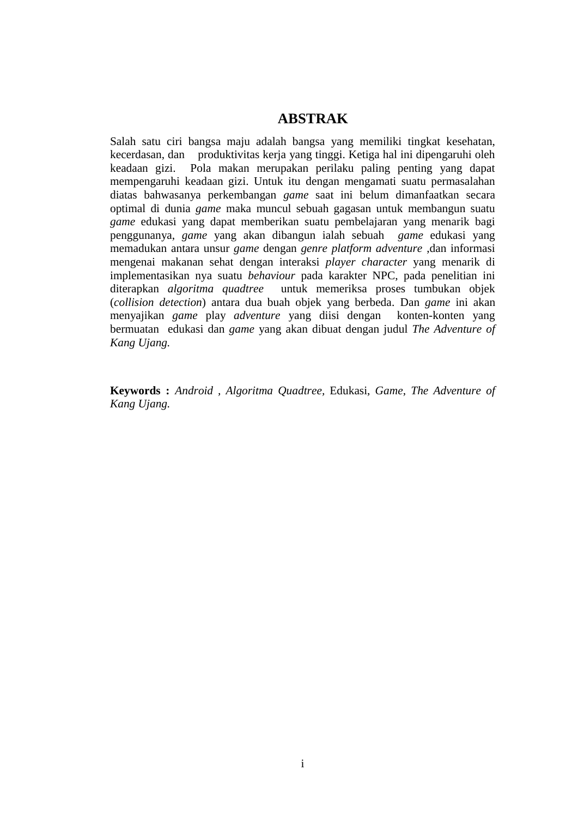## **ABSTRAK**

Salah satu ciri bangsa maju adalah bangsa yang memiliki tingkat kesehatan, kecerdasan, dan produktivitas kerja yang tinggi. Ketiga hal ini dipengaruhi oleh keadaan gizi. Pola makan merupakan perilaku paling penting yang dapat mempengaruhi keadaan gizi. Untuk itu dengan mengamati suatu permasalahan diatas bahwasanya perkembangan *game* saat ini belum dimanfaatkan secara optimal di dunia *game* maka muncul sebuah gagasan untuk membangun suatu *game* edukasi yang dapat memberikan suatu pembelajaran yang menarik bagi penggunanya, *game* yang akan dibangun ialah sebuah *game* edukasi yang memadukan antara unsur *game* dengan *genre platform adventure* ,dan informasi mengenai makanan sehat dengan interaksi *player character* yang menarik di implementasikan nya suatu *behaviour* pada karakter NPC, pada penelitian ini diterapkan *algoritma quadtree* untuk memeriksa proses tumbukan objek (*collision detection*) antara dua buah objek yang berbeda. Dan *game* ini akan menyajikan *game* play *adventure* yang diisi dengan konten-konten yang bermuatan edukasi dan *game* yang akan dibuat dengan judul *The Adventure of Kang Ujang.*

**Keywords :** *Android , Algoritma Quadtree,* Edukasi, *Game*, *The Adventure of Kang Ujang.*